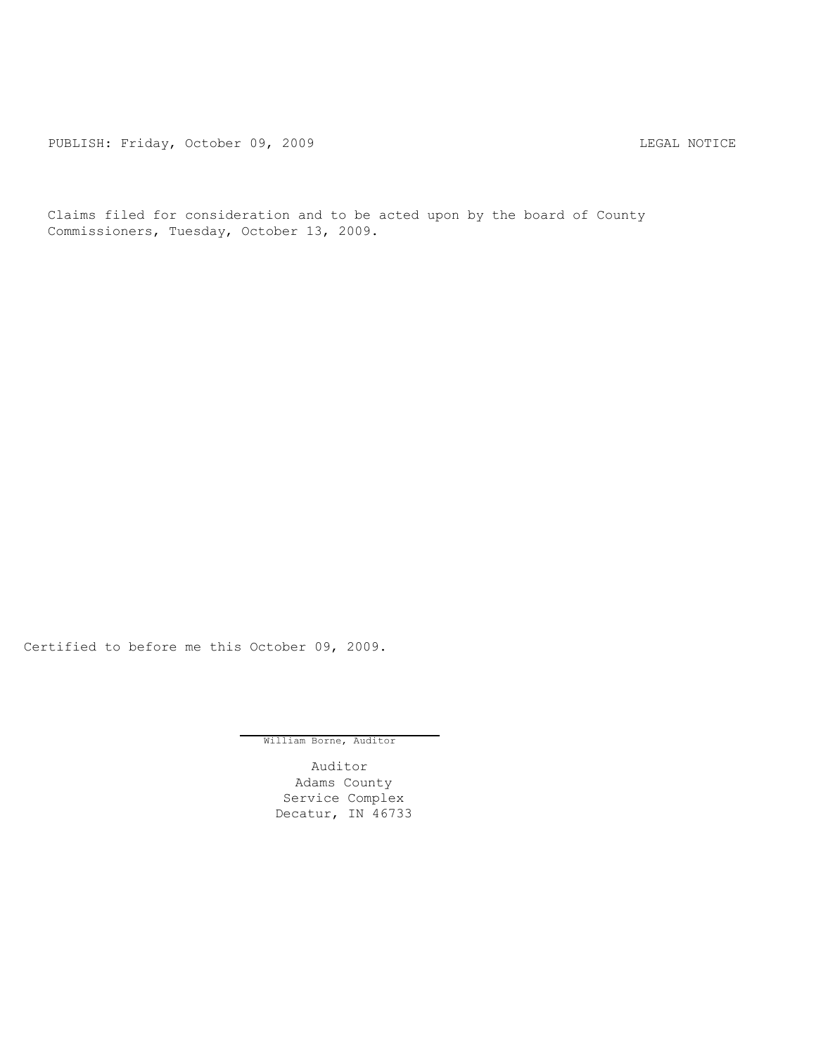PUBLISH: Friday, October 09, 2009 CHA CHANGE CONSTRUCTED AND THE LEGAL NOTICE

Claims filed for consideration and to be acted upon by the board of County Commissioners, Tuesday, October 13, 2009.

Certified to before me this October 09, 2009.

William Borne, Auditor

Auditor Adams County Service Complex Decatur, IN 46733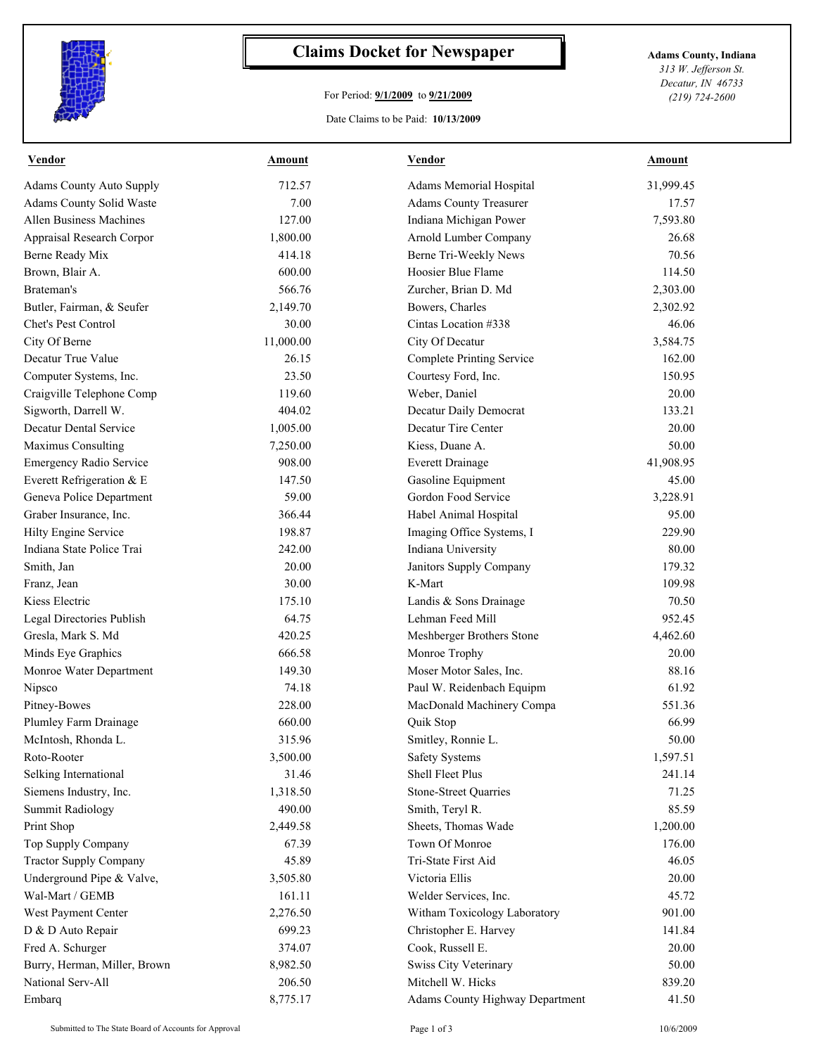

## **Claims Docket for Newspaper Adams County, Indiana**

## For Period: **9/1/2009** to **9/21/2009**

Date Claims to be Paid: **10/13/2009**

*313 W. Jefferson St. Decatur, IN 46733 (219) 724-2600*

| Vendor                           | <b>Amount</b> | <b>Vendor</b>                          | <b>Amount</b> |
|----------------------------------|---------------|----------------------------------------|---------------|
| <b>Adams County Auto Supply</b>  | 712.57        | Adams Memorial Hospital                | 31,999.45     |
| <b>Adams County Solid Waste</b>  | 7.00          | <b>Adams County Treasurer</b>          | 17.57         |
| <b>Allen Business Machines</b>   | 127.00        | Indiana Michigan Power                 | 7,593.80      |
| <b>Appraisal Research Corpor</b> | 1,800.00      | Arnold Lumber Company                  | 26.68         |
| Berne Ready Mix                  | 414.18        | Berne Tri-Weekly News                  | 70.56         |
| Brown, Blair A.                  | 600.00        | Hoosier Blue Flame                     | 114.50        |
| Brateman's                       | 566.76        | Zurcher, Brian D. Md                   | 2,303.00      |
| Butler, Fairman, & Seufer        | 2,149.70      | Bowers, Charles                        | 2,302.92      |
| Chet's Pest Control              | 30.00         | Cintas Location #338                   | 46.06         |
| City Of Berne                    | 11,000.00     | City Of Decatur                        | 3,584.75      |
| Decatur True Value               | 26.15         | Complete Printing Service              | 162.00        |
| Computer Systems, Inc.           | 23.50         | Courtesy Ford, Inc.                    | 150.95        |
| Craigville Telephone Comp        | 119.60        | Weber, Daniel                          | 20.00         |
| Sigworth, Darrell W.             | 404.02        | Decatur Daily Democrat                 | 133.21        |
| <b>Decatur Dental Service</b>    | 1,005.00      | Decatur Tire Center                    | 20.00         |
| Maximus Consulting               | 7,250.00      | Kiess, Duane A.                        | 50.00         |
| <b>Emergency Radio Service</b>   | 908.00        | <b>Everett Drainage</b>                | 41,908.95     |
| Everett Refrigeration & E        | 147.50        | Gasoline Equipment                     | 45.00         |
| Geneva Police Department         | 59.00         | Gordon Food Service                    | 3,228.91      |
| Graber Insurance, Inc.           | 366.44        | Habel Animal Hospital                  | 95.00         |
| <b>Hilty Engine Service</b>      | 198.87        | Imaging Office Systems, I              | 229.90        |
| Indiana State Police Trai        | 242.00        | Indiana University                     | 80.00         |
| Smith, Jan                       | 20.00         | Janitors Supply Company                | 179.32        |
| Franz, Jean                      | 30.00         | K-Mart                                 | 109.98        |
| Kiess Electric                   | 175.10        | Landis & Sons Drainage                 | 70.50         |
| Legal Directories Publish        | 64.75         | Lehman Feed Mill                       | 952.45        |
| Gresla, Mark S. Md               | 420.25        | Meshberger Brothers Stone              | 4,462.60      |
| Minds Eye Graphics               | 666.58        | Monroe Trophy                          | 20.00         |
| Monroe Water Department          | 149.30        | Moser Motor Sales, Inc.                | 88.16         |
| Nipsco                           | 74.18         | Paul W. Reidenbach Equipm              | 61.92         |
| Pitney-Bowes                     | 228.00        | MacDonald Machinery Compa              | 551.36        |
| Plumley Farm Drainage            | 660.00        | Quik Stop                              | 66.99         |
| McIntosh, Rhonda L.              | 315.96        | Smitley, Ronnie L.                     | 50.00         |
| Roto-Rooter                      | 3,500.00      | <b>Safety Systems</b>                  | 1,597.51      |
| Selking International            | 31.46         | Shell Fleet Plus                       | 241.14        |
| Siemens Industry, Inc.           | 1,318.50      | <b>Stone-Street Quarries</b>           | 71.25         |
| <b>Summit Radiology</b>          | 490.00        | Smith, Teryl R.                        | 85.59         |
| Print Shop                       | 2,449.58      | Sheets, Thomas Wade                    | 1,200.00      |
| Top Supply Company               | 67.39         | Town Of Monroe                         | 176.00        |
| <b>Tractor Supply Company</b>    | 45.89         | Tri-State First Aid                    | 46.05         |
| Underground Pipe & Valve,        | 3,505.80      | Victoria Ellis                         | 20.00         |
| Wal-Mart / GEMB                  | 161.11        | Welder Services, Inc.                  | 45.72         |
|                                  |               |                                        | 901.00        |
| West Payment Center              | 2,276.50      | Witham Toxicology Laboratory           |               |
| D & D Auto Repair                | 699.23        | Christopher E. Harvey                  | 141.84        |
| Fred A. Schurger                 | 374.07        | Cook, Russell E.                       | 20.00         |
| Burry, Herman, Miller, Brown     | 8,982.50      | Swiss City Veterinary                  | 50.00         |
| National Serv-All                | 206.50        | Mitchell W. Hicks                      | 839.20        |
| Embarq                           | 8,775.17      | <b>Adams County Highway Department</b> | 41.50         |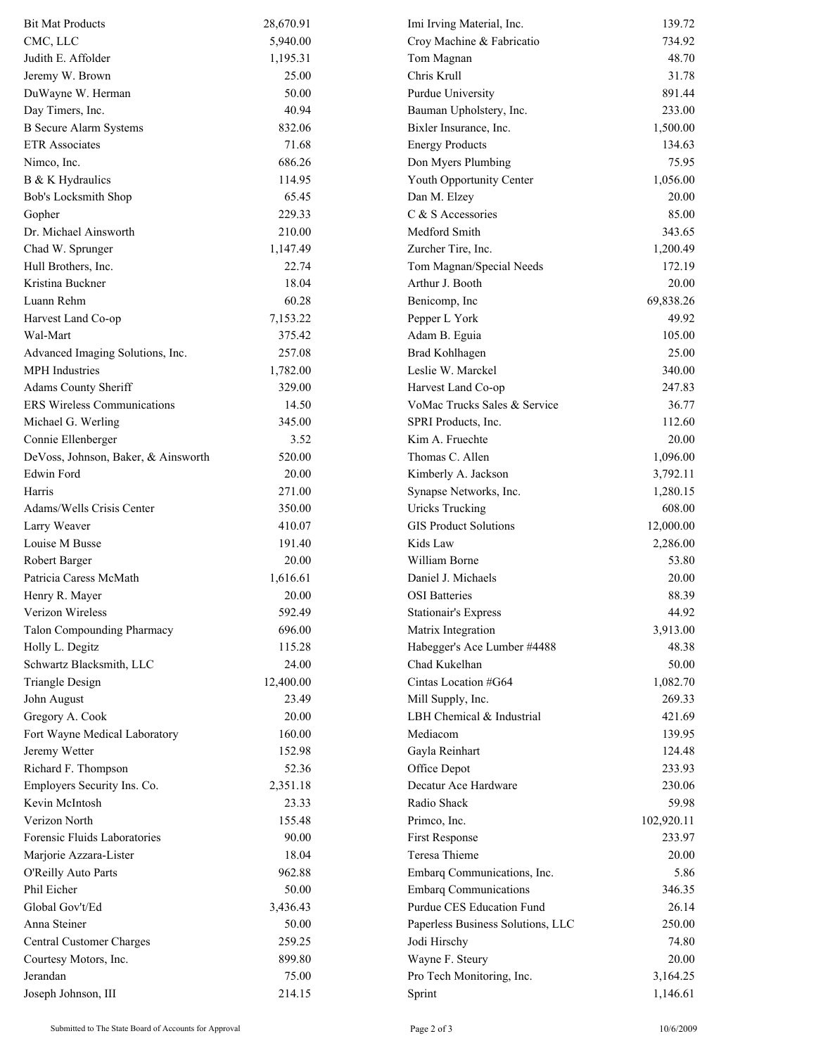| <b>Bit Mat Products</b>             | 28,670.91 | Imi Irving Material, Inc.         | 139.72     |
|-------------------------------------|-----------|-----------------------------------|------------|
| CMC, LLC                            | 5,940.00  | Croy Machine & Fabricatio         | 734.92     |
| Judith E. Affolder                  | 1,195.31  | Tom Magnan                        | 48.70      |
| Jeremy W. Brown                     | 25.00     | Chris Krull                       | 31.78      |
| DuWayne W. Herman                   | 50.00     | Purdue University                 | 891.44     |
| Day Timers, Inc.                    | 40.94     | Bauman Upholstery, Inc.           | 233.00     |
| <b>B</b> Secure Alarm Systems       | 832.06    | Bixler Insurance, Inc.            | 1,500.00   |
| <b>ETR</b> Associates               | 71.68     | <b>Energy Products</b>            | 134.63     |
| Nimco, Inc.                         | 686.26    | Don Myers Plumbing                | 75.95      |
| B & K Hydraulics                    | 114.95    | Youth Opportunity Center          | 1,056.00   |
| Bob's Locksmith Shop                | 65.45     | Dan M. Elzey                      | 20.00      |
| Gopher                              | 229.33    | C & S Accessories                 | 85.00      |
| Dr. Michael Ainsworth               | 210.00    | Medford Smith                     | 343.65     |
| Chad W. Sprunger                    | 1,147.49  | Zurcher Tire, Inc.                | 1,200.49   |
| Hull Brothers, Inc.                 | 22.74     | Tom Magnan/Special Needs          | 172.19     |
| Kristina Buckner                    | 18.04     | Arthur J. Booth                   | 20.00      |
| Luann Rehm                          | 60.28     | Benicomp, Inc                     | 69,838.26  |
| Harvest Land Co-op                  | 7,153.22  | Pepper L York                     | 49.92      |
| Wal-Mart                            | 375.42    | Adam B. Eguia                     | 105.00     |
| Advanced Imaging Solutions, Inc.    | 257.08    | <b>Brad Kohlhagen</b>             | 25.00      |
| <b>MPH</b> Industries               | 1,782.00  | Leslie W. Marckel                 | 340.00     |
| <b>Adams County Sheriff</b>         | 329.00    | Harvest Land Co-op                | 247.83     |
| ERS Wireless Communications         | 14.50     | VoMac Trucks Sales & Service      | 36.77      |
| Michael G. Werling                  | 345.00    | SPRI Products, Inc.               | 112.60     |
| Connie Ellenberger                  | 3.52      | Kim A. Fruechte                   | 20.00      |
| DeVoss, Johnson, Baker, & Ainsworth | 520.00    | Thomas C. Allen                   | 1,096.00   |
| Edwin Ford                          | 20.00     | Kimberly A. Jackson               | 3,792.11   |
| Harris                              | 271.00    | Synapse Networks, Inc.            | 1,280.15   |
| Adams/Wells Crisis Center           | 350.00    | <b>Uricks Trucking</b>            | 608.00     |
| Larry Weaver                        | 410.07    | <b>GIS Product Solutions</b>      | 12,000.00  |
| Louise M Busse                      | 191.40    | Kids Law                          | 2,286.00   |
| Robert Barger                       | 20.00     | William Borne                     | 53.80      |
| Patricia Caress McMath              | 1,616.61  | Daniel J. Michaels                | 20.00      |
| Henry R. Mayer                      | 20.00     | <b>OSI</b> Batteries              | 88.39      |
| Verizon Wireless                    | 592.49    | <b>Stationair's Express</b>       | 44.92      |
| Talon Compounding Pharmacy          | 696.00    | Matrix Integration                | 3,913.00   |
| Holly L. Degitz                     | 115.28    | Habegger's Ace Lumber #4488       | 48.38      |
| Schwartz Blacksmith, LLC            | 24.00     | Chad Kukelhan                     | 50.00      |
| <b>Triangle Design</b>              | 12,400.00 | Cintas Location #G64              | 1,082.70   |
| John August                         | 23.49     | Mill Supply, Inc.                 | 269.33     |
| Gregory A. Cook                     | 20.00     | LBH Chemical & Industrial         | 421.69     |
| Fort Wayne Medical Laboratory       | 160.00    | Mediacom                          | 139.95     |
| Jeremy Wetter                       | 152.98    | Gayla Reinhart                    | 124.48     |
| Richard F. Thompson                 | 52.36     | Office Depot                      | 233.93     |
| Employers Security Ins. Co.         | 2,351.18  | Decatur Ace Hardware              | 230.06     |
| Kevin McIntosh                      | 23.33     | Radio Shack                       | 59.98      |
| Verizon North                       | 155.48    | Primco, Inc.                      | 102,920.11 |
| Forensic Fluids Laboratories        | 90.00     | First Response                    | 233.97     |
| Marjorie Azzara-Lister              | 18.04     | Teresa Thieme                     | 20.00      |
| O'Reilly Auto Parts                 | 962.88    | Embarq Communications, Inc.       | 5.86       |
| Phil Eicher                         | 50.00     | <b>Embarq Communications</b>      | 346.35     |
| Global Gov't/Ed                     | 3,436.43  | Purdue CES Education Fund         | 26.14      |
| Anna Steiner                        | 50.00     | Paperless Business Solutions, LLC | 250.00     |
| Central Customer Charges            | 259.25    | Jodi Hirschy                      | 74.80      |
| Courtesy Motors, Inc.               | 899.80    | Wayne F. Steury                   | 20.00      |
| Jerandan                            | 75.00     | Pro Tech Monitoring, Inc.         | 3,164.25   |
| Joseph Johnson, III                 | 214.15    | Sprint                            | 1,146.61   |
|                                     |           |                                   |            |